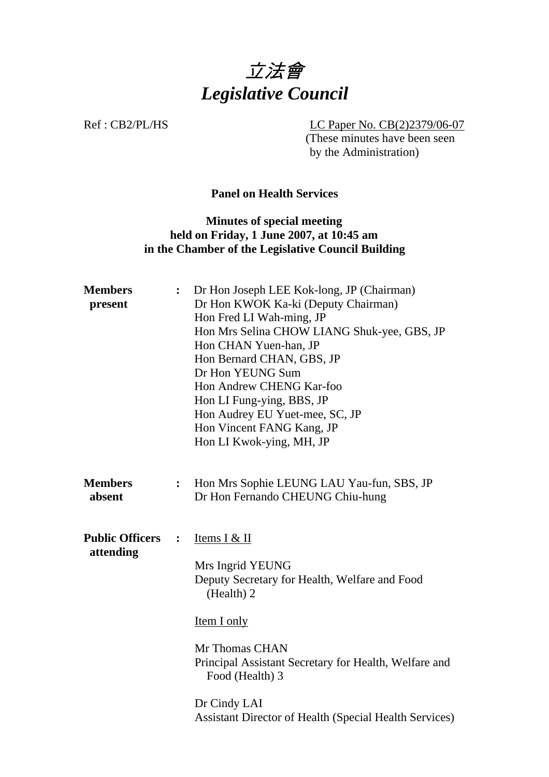

Ref : CB2/PL/HS LC Paper No. CB(2)2379/06-07 (These minutes have been seen by the Administration)

### **Panel on Health Services**

## **Minutes of special meeting held on Friday, 1 June 2007, at 10:45 am in the Chamber of the Legislative Council Building**

| <b>Members</b><br>present           |                  | Dr Hon Joseph LEE Kok-long, JP (Chairman)<br>Dr Hon KWOK Ka-ki (Deputy Chairman)<br>Hon Fred LI Wah-ming, JP<br>Hon Mrs Selina CHOW LIANG Shuk-yee, GBS, JP<br>Hon CHAN Yuen-han, JP<br>Hon Bernard CHAN, GBS, JP<br>Dr Hon YEUNG Sum<br>Hon Andrew CHENG Kar-foo<br>Hon LI Fung-ying, BBS, JP<br>Hon Audrey EU Yuet-mee, SC, JP<br>Hon Vincent FANG Kang, JP<br>Hon LI Kwok-ying, MH, JP |
|-------------------------------------|------------------|-------------------------------------------------------------------------------------------------------------------------------------------------------------------------------------------------------------------------------------------------------------------------------------------------------------------------------------------------------------------------------------------|
| <b>Members</b><br>absent            | $\ddot{\cdot}$   | Hon Mrs Sophie LEUNG LAU Yau-fun, SBS, JP<br>Dr Hon Fernando CHEUNG Chiu-hung                                                                                                                                                                                                                                                                                                             |
| <b>Public Officers</b><br>attending | $\ddot{\bullet}$ | Items I & II<br>Mrs Ingrid YEUNG<br>Deputy Secretary for Health, Welfare and Food<br>(Health) 2<br><b>Item I only</b><br>Mr Thomas CHAN<br>Principal Assistant Secretary for Health, Welfare and<br>Food (Health) 3<br>Dr Cindy LAI<br><b>Assistant Director of Health (Special Health Services)</b>                                                                                      |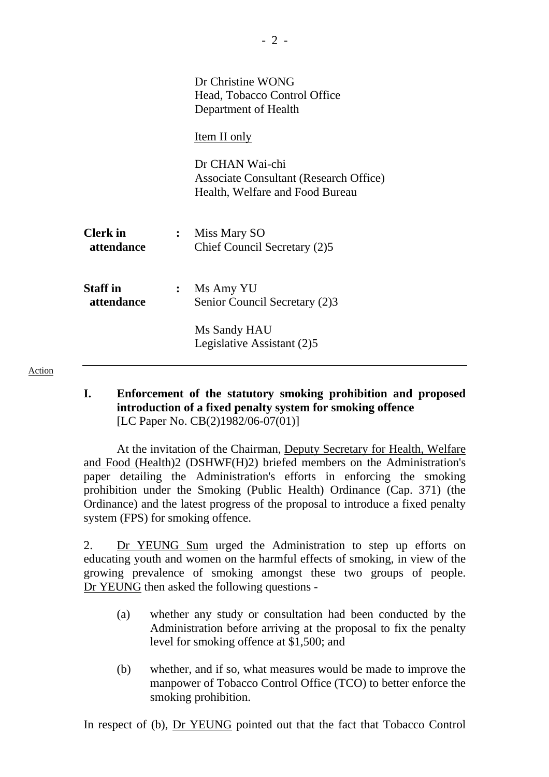|                               |                | Dr Christine WONG<br>Head, Tobacco Control Office<br>Department of Health                           |
|-------------------------------|----------------|-----------------------------------------------------------------------------------------------------|
|                               |                | Item II only                                                                                        |
|                               |                | Dr CHAN Wai-chi<br><b>Associate Consultant (Research Office)</b><br>Health, Welfare and Food Bureau |
| <b>Clerk</b> in<br>attendance |                | : Miss Mary SO<br>Chief Council Secretary (2)5                                                      |
| <b>Staff</b> in<br>attendance | $\ddot{\cdot}$ | Ms Amy YU<br>Senior Council Secretary (2)3                                                          |
|                               |                | Ms Sandy HAU<br>Legislative Assistant (2)5                                                          |

**I. Enforcement of the statutory smoking prohibition and proposed introduction of a fixed penalty system for smoking offence**  [LC Paper No. CB(2)1982/06-07(01)]

 At the invitation of the Chairman, Deputy Secretary for Health, Welfare and Food (Health)2 (DSHWF(H)2) briefed members on the Administration's paper detailing the Administration's efforts in enforcing the smoking prohibition under the Smoking (Public Health) Ordinance (Cap. 371) (the Ordinance) and the latest progress of the proposal to introduce a fixed penalty system (FPS) for smoking offence.

2. Dr YEUNG Sum urged the Administration to step up efforts on educating youth and women on the harmful effects of smoking, in view of the growing prevalence of smoking amongst these two groups of people. Dr YEUNG then asked the following questions -

- (a) whether any study or consultation had been conducted by the Administration before arriving at the proposal to fix the penalty level for smoking offence at \$1,500; and
- (b) whether, and if so, what measures would be made to improve the manpower of Tobacco Control Office (TCO) to better enforce the smoking prohibition.

In respect of (b), Dr YEUNG pointed out that the fact that Tobacco Control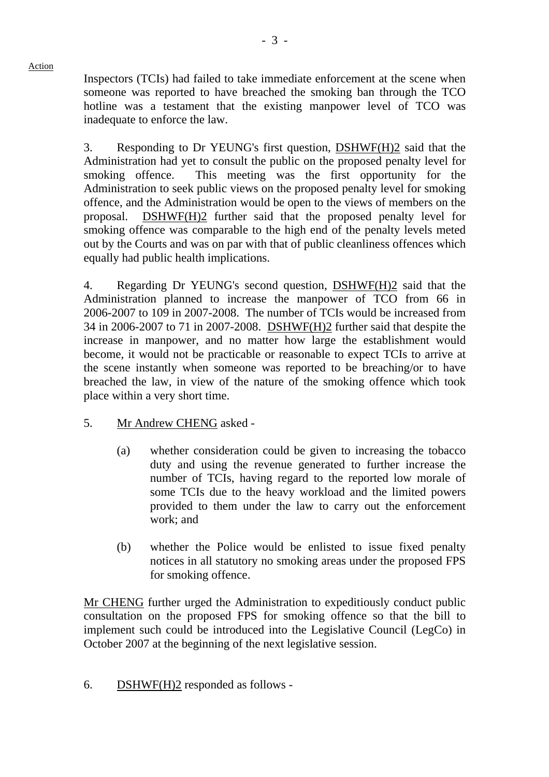Inspectors (TCIs) had failed to take immediate enforcement at the scene when someone was reported to have breached the smoking ban through the TCO hotline was a testament that the existing manpower level of TCO was inadequate to enforce the law.

3. Responding to Dr YEUNG's first question, DSHWF(H)2 said that the Administration had yet to consult the public on the proposed penalty level for smoking offence. This meeting was the first opportunity for the Administration to seek public views on the proposed penalty level for smoking offence, and the Administration would be open to the views of members on the proposal. DSHWF(H)2 further said that the proposed penalty level for smoking offence was comparable to the high end of the penalty levels meted out by the Courts and was on par with that of public cleanliness offences which equally had public health implications.

4. Regarding Dr YEUNG's second question, DSHWF(H)2 said that the Administration planned to increase the manpower of TCO from 66 in 2006-2007 to 109 in 2007-2008. The number of TCIs would be increased from 34 in 2006-2007 to 71 in 2007-2008. DSHWF(H)2 further said that despite the increase in manpower, and no matter how large the establishment would become, it would not be practicable or reasonable to expect TCIs to arrive at the scene instantly when someone was reported to be breaching/or to have breached the law, in view of the nature of the smoking offence which took place within a very short time.

# 5. Mr Andrew CHENG asked -

Action

- (a) whether consideration could be given to increasing the tobacco duty and using the revenue generated to further increase the number of TCIs, having regard to the reported low morale of some TCIs due to the heavy workload and the limited powers provided to them under the law to carry out the enforcement work; and
- (b) whether the Police would be enlisted to issue fixed penalty notices in all statutory no smoking areas under the proposed FPS for smoking offence.

Mr CHENG further urged the Administration to expeditiously conduct public consultation on the proposed FPS for smoking offence so that the bill to implement such could be introduced into the Legislative Council (LegCo) in October 2007 at the beginning of the next legislative session.

6. DSHWF(H)2 responded as follows -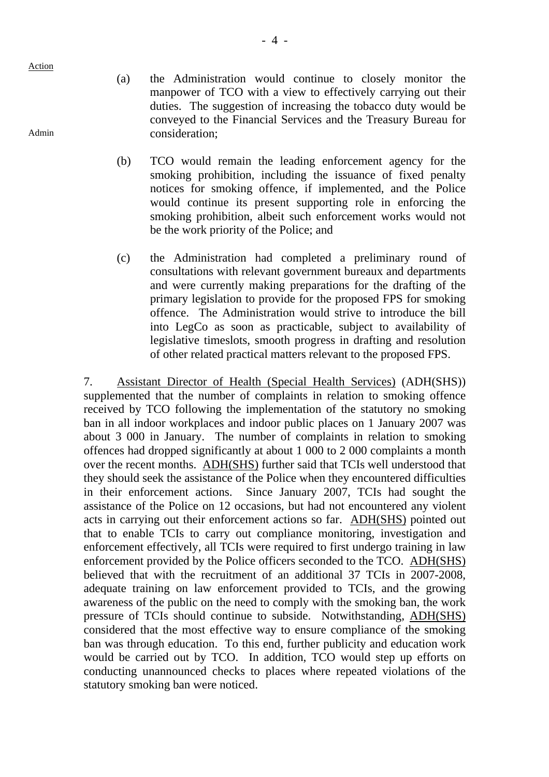Admin

- (a) the Administration would continue to closely monitor the manpower of TCO with a view to effectively carrying out their duties. The suggestion of increasing the tobacco duty would be conveyed to the Financial Services and the Treasury Bureau for consideration;
- (b) TCO would remain the leading enforcement agency for the smoking prohibition, including the issuance of fixed penalty notices for smoking offence, if implemented, and the Police would continue its present supporting role in enforcing the smoking prohibition, albeit such enforcement works would not be the work priority of the Police; and
- (c) the Administration had completed a preliminary round of consultations with relevant government bureaux and departments and were currently making preparations for the drafting of the primary legislation to provide for the proposed FPS for smoking offence. The Administration would strive to introduce the bill into LegCo as soon as practicable, subject to availability of legislative timeslots, smooth progress in drafting and resolution of other related practical matters relevant to the proposed FPS.

7. Assistant Director of Health (Special Health Services) (ADH(SHS)) supplemented that the number of complaints in relation to smoking offence received by TCO following the implementation of the statutory no smoking ban in all indoor workplaces and indoor public places on 1 January 2007 was about 3 000 in January. The number of complaints in relation to smoking offences had dropped significantly at about 1 000 to 2 000 complaints a month over the recent months. ADH(SHS) further said that TCIs well understood that they should seek the assistance of the Police when they encountered difficulties in their enforcement actions. Since January 2007, TCIs had sought the assistance of the Police on 12 occasions, but had not encountered any violent acts in carrying out their enforcement actions so far. ADH(SHS) pointed out that to enable TCIs to carry out compliance monitoring, investigation and enforcement effectively, all TCIs were required to first undergo training in law enforcement provided by the Police officers seconded to the TCO. ADH(SHS) believed that with the recruitment of an additional 37 TCIs in 2007-2008, adequate training on law enforcement provided to TCIs, and the growing awareness of the public on the need to comply with the smoking ban, the work pressure of TCIs should continue to subside. Notwithstanding, ADH(SHS) considered that the most effective way to ensure compliance of the smoking ban was through education. To this end, further publicity and education work would be carried out by TCO. In addition, TCO would step up efforts on conducting unannounced checks to places where repeated violations of the statutory smoking ban were noticed.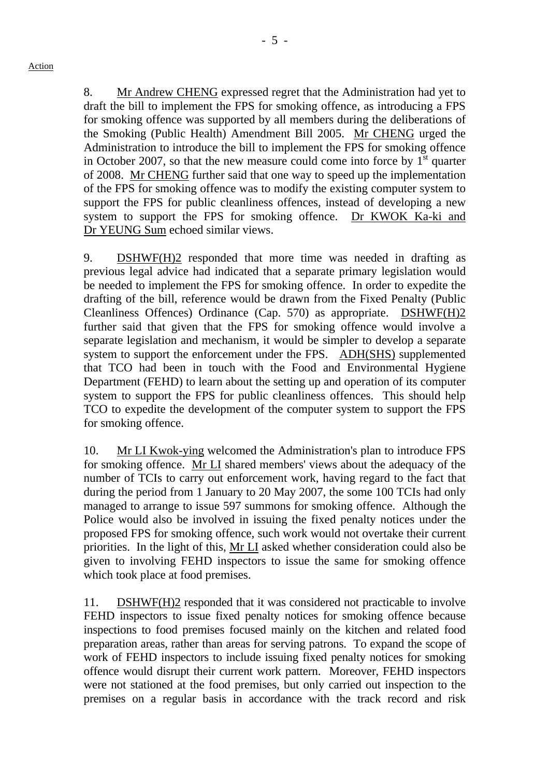8. Mr Andrew CHENG expressed regret that the Administration had yet to draft the bill to implement the FPS for smoking offence, as introducing a FPS for smoking offence was supported by all members during the deliberations of the Smoking (Public Health) Amendment Bill 2005. Mr CHENG urged the Administration to introduce the bill to implement the FPS for smoking offence in October 2007, so that the new measure could come into force by  $1<sup>st</sup>$  quarter of 2008. Mr CHENG further said that one way to speed up the implementation of the FPS for smoking offence was to modify the existing computer system to support the FPS for public cleanliness offences, instead of developing a new system to support the FPS for smoking offence. Dr KWOK Ka-ki and Dr YEUNG Sum echoed similar views.

9. DSHWF(H)2 responded that more time was needed in drafting as previous legal advice had indicated that a separate primary legislation would be needed to implement the FPS for smoking offence. In order to expedite the drafting of the bill, reference would be drawn from the Fixed Penalty (Public Cleanliness Offences) Ordinance (Cap. 570) as appropriate. DSHWF(H)2 further said that given that the FPS for smoking offence would involve a separate legislation and mechanism, it would be simpler to develop a separate system to support the enforcement under the FPS. ADH(SHS) supplemented that TCO had been in touch with the Food and Environmental Hygiene Department (FEHD) to learn about the setting up and operation of its computer system to support the FPS for public cleanliness offences. This should help TCO to expedite the development of the computer system to support the FPS for smoking offence.

10. Mr LI Kwok-ying welcomed the Administration's plan to introduce FPS for smoking offence. Mr LI shared members' views about the adequacy of the number of TCIs to carry out enforcement work, having regard to the fact that during the period from 1 January to 20 May 2007, the some 100 TCIs had only managed to arrange to issue 597 summons for smoking offence. Although the Police would also be involved in issuing the fixed penalty notices under the proposed FPS for smoking offence, such work would not overtake their current priorities. In the light of this, Mr LI asked whether consideration could also be given to involving FEHD inspectors to issue the same for smoking offence which took place at food premises.

11. DSHWF(H)2 responded that it was considered not practicable to involve FEHD inspectors to issue fixed penalty notices for smoking offence because inspections to food premises focused mainly on the kitchen and related food preparation areas, rather than areas for serving patrons. To expand the scope of work of FEHD inspectors to include issuing fixed penalty notices for smoking offence would disrupt their current work pattern. Moreover, FEHD inspectors were not stationed at the food premises, but only carried out inspection to the premises on a regular basis in accordance with the track record and risk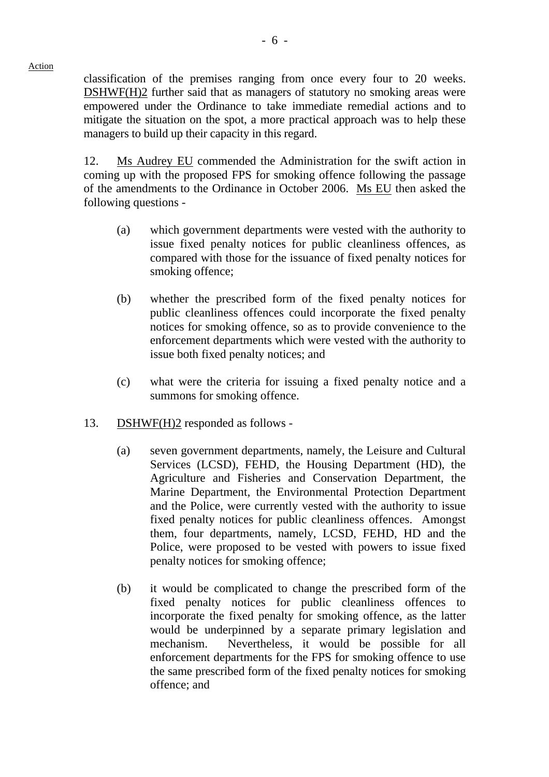classification of the premises ranging from once every four to 20 weeks. DSHWF(H)2 further said that as managers of statutory no smoking areas were empowered under the Ordinance to take immediate remedial actions and to mitigate the situation on the spot, a more practical approach was to help these managers to build up their capacity in this regard.

12. Ms Audrey EU commended the Administration for the swift action in coming up with the proposed FPS for smoking offence following the passage of the amendments to the Ordinance in October 2006. Ms EU then asked the following questions -

- (a) which government departments were vested with the authority to issue fixed penalty notices for public cleanliness offences, as compared with those for the issuance of fixed penalty notices for smoking offence;
- (b) whether the prescribed form of the fixed penalty notices for public cleanliness offences could incorporate the fixed penalty notices for smoking offence, so as to provide convenience to the enforcement departments which were vested with the authority to issue both fixed penalty notices; and
- (c) what were the criteria for issuing a fixed penalty notice and a summons for smoking offence.
- 13. DSHWF(H)2 responded as follows
	- (a) seven government departments, namely, the Leisure and Cultural Services (LCSD), FEHD, the Housing Department (HD), the Agriculture and Fisheries and Conservation Department, the Marine Department, the Environmental Protection Department and the Police, were currently vested with the authority to issue fixed penalty notices for public cleanliness offences. Amongst them, four departments, namely, LCSD, FEHD, HD and the Police, were proposed to be vested with powers to issue fixed penalty notices for smoking offence;
	- (b) it would be complicated to change the prescribed form of the fixed penalty notices for public cleanliness offences to incorporate the fixed penalty for smoking offence, as the latter would be underpinned by a separate primary legislation and mechanism. Nevertheless, it would be possible for all enforcement departments for the FPS for smoking offence to use the same prescribed form of the fixed penalty notices for smoking offence; and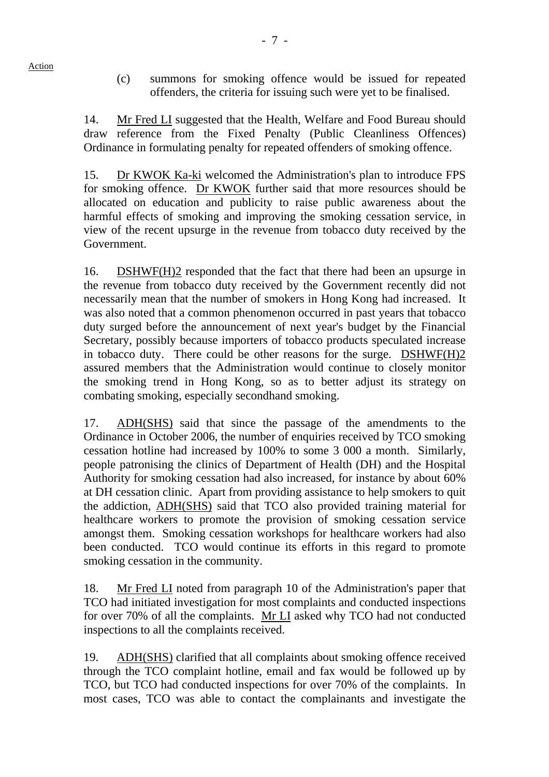- Action
- (c) summons for smoking offence would be issued for repeated offenders, the criteria for issuing such were yet to be finalised.

14. Mr Fred LI suggested that the Health, Welfare and Food Bureau should draw reference from the Fixed Penalty (Public Cleanliness Offences) Ordinance in formulating penalty for repeated offenders of smoking offence.

15. Dr KWOK Ka-ki welcomed the Administration's plan to introduce FPS for smoking offence. Dr KWOK further said that more resources should be allocated on education and publicity to raise public awareness about the harmful effects of smoking and improving the smoking cessation service, in view of the recent upsurge in the revenue from tobacco duty received by the Government.

16. DSHWF(H)2 responded that the fact that there had been an upsurge in the revenue from tobacco duty received by the Government recently did not necessarily mean that the number of smokers in Hong Kong had increased. It was also noted that a common phenomenon occurred in past years that tobacco duty surged before the announcement of next year's budget by the Financial Secretary, possibly because importers of tobacco products speculated increase in tobacco duty. There could be other reasons for the surge. DSHWF(H)2 assured members that the Administration would continue to closely monitor the smoking trend in Hong Kong, so as to better adjust its strategy on combating smoking, especially secondhand smoking.

17. ADH(SHS) said that since the passage of the amendments to the Ordinance in October 2006, the number of enquiries received by TCO smoking cessation hotline had increased by 100% to some 3 000 a month. Similarly, people patronising the clinics of Department of Health (DH) and the Hospital Authority for smoking cessation had also increased, for instance by about 60% at DH cessation clinic. Apart from providing assistance to help smokers to quit the addiction, ADH(SHS) said that TCO also provided training material for healthcare workers to promote the provision of smoking cessation service amongst them. Smoking cessation workshops for healthcare workers had also been conducted. TCO would continue its efforts in this regard to promote smoking cessation in the community.

18. Mr Fred LI noted from paragraph 10 of the Administration's paper that TCO had initiated investigation for most complaints and conducted inspections for over 70% of all the complaints. Mr LI asked why TCO had not conducted inspections to all the complaints received.

19. ADH(SHS) clarified that all complaints about smoking offence received through the TCO complaint hotline, email and fax would be followed up by TCO, but TCO had conducted inspections for over 70% of the complaints. In most cases, TCO was able to contact the complainants and investigate the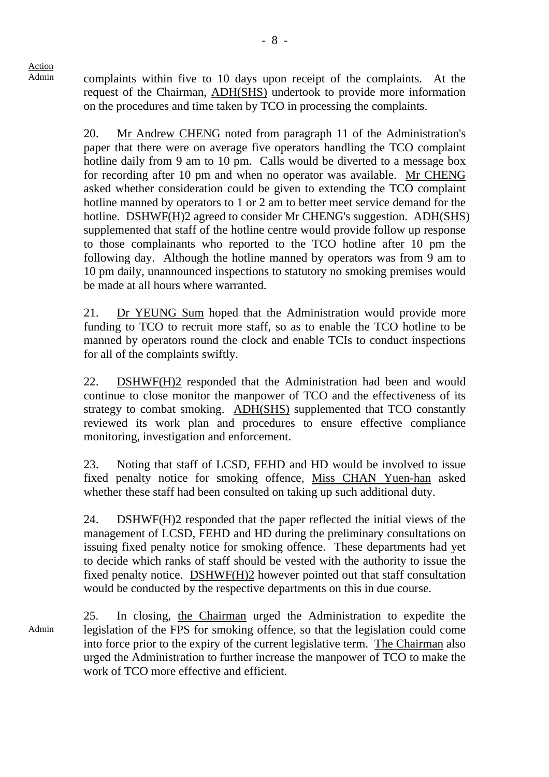Admin complaints within five to 10 days upon receipt of the complaints. At the request of the Chairman, ADH(SHS) undertook to provide more information on the procedures and time taken by TCO in processing the complaints.

> 20. Mr Andrew CHENG noted from paragraph 11 of the Administration's paper that there were on average five operators handling the TCO complaint hotline daily from 9 am to 10 pm. Calls would be diverted to a message box for recording after 10 pm and when no operator was available. Mr CHENG asked whether consideration could be given to extending the TCO complaint hotline manned by operators to 1 or 2 am to better meet service demand for the hotline. DSHWF(H)2 agreed to consider Mr CHENG's suggestion. ADH(SHS) supplemented that staff of the hotline centre would provide follow up response to those complainants who reported to the TCO hotline after 10 pm the following day. Although the hotline manned by operators was from 9 am to 10 pm daily, unannounced inspections to statutory no smoking premises would be made at all hours where warranted.

> 21. Dr YEUNG Sum hoped that the Administration would provide more funding to TCO to recruit more staff, so as to enable the TCO hotline to be manned by operators round the clock and enable TCIs to conduct inspections for all of the complaints swiftly.

> 22. DSHWF(H)2 responded that the Administration had been and would continue to close monitor the manpower of TCO and the effectiveness of its strategy to combat smoking. ADH(SHS) supplemented that TCO constantly reviewed its work plan and procedures to ensure effective compliance monitoring, investigation and enforcement.

> 23. Noting that staff of LCSD, FEHD and HD would be involved to issue fixed penalty notice for smoking offence, Miss CHAN Yuen-han asked whether these staff had been consulted on taking up such additional duty.

> 24. DSHWF(H)2 responded that the paper reflected the initial views of the management of LCSD, FEHD and HD during the preliminary consultations on issuing fixed penalty notice for smoking offence. These departments had yet to decide which ranks of staff should be vested with the authority to issue the fixed penalty notice. DSHWF(H)2 however pointed out that staff consultation would be conducted by the respective departments on this in due course.

Admin 25. In closing, the Chairman urged the Administration to expedite the legislation of the FPS for smoking offence, so that the legislation could come into force prior to the expiry of the current legislative term. The Chairman also urged the Administration to further increase the manpower of TCO to make the work of TCO more effective and efficient.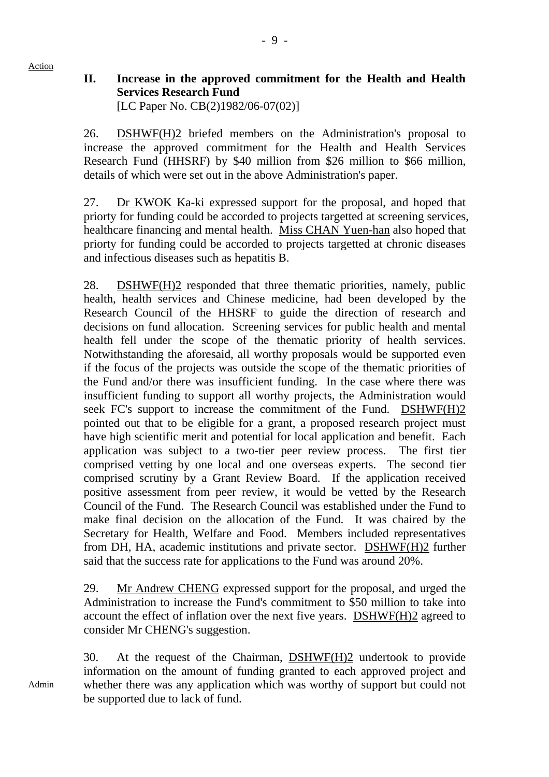### **II. Increase in the approved commitment for the Health and Health Services Research Fund**  [LC Paper No. CB(2)1982/06-07(02)]

26. DSHWF(H)2 briefed members on the Administration's proposal to increase the approved commitment for the Health and Health Services Research Fund (HHSRF) by \$40 million from \$26 million to \$66 million, details of which were set out in the above Administration's paper.

27. Dr KWOK Ka-ki expressed support for the proposal, and hoped that priorty for funding could be accorded to projects targetted at screening services, healthcare financing and mental health. Miss CHAN Yuen-han also hoped that priorty for funding could be accorded to projects targetted at chronic diseases and infectious diseases such as hepatitis B.

28. DSHWF(H)2 responded that three thematic priorities, namely, public health, health services and Chinese medicine, had been developed by the Research Council of the HHSRF to guide the direction of research and decisions on fund allocation. Screening services for public health and mental health fell under the scope of the thematic priority of health services. Notwithstanding the aforesaid, all worthy proposals would be supported even if the focus of the projects was outside the scope of the thematic priorities of the Fund and/or there was insufficient funding. In the case where there was insufficient funding to support all worthy projects, the Administration would seek FC's support to increase the commitment of the Fund. DSHWF(H)2 pointed out that to be eligible for a grant, a proposed research project must have high scientific merit and potential for local application and benefit. Each application was subject to a two-tier peer review process. The first tier comprised vetting by one local and one overseas experts. The second tier comprised scrutiny by a Grant Review Board. If the application received positive assessment from peer review, it would be vetted by the Research Council of the Fund. The Research Council was established under the Fund to make final decision on the allocation of the Fund. It was chaired by the Secretary for Health, Welfare and Food. Members included representatives from DH, HA, academic institutions and private sector. DSHWF(H)2 further said that the success rate for applications to the Fund was around 20%.

29. Mr Andrew CHENG expressed support for the proposal, and urged the Administration to increase the Fund's commitment to \$50 million to take into account the effect of inflation over the next five years. DSHWF(H)2 agreed to consider Mr CHENG's suggestion.

30. At the request of the Chairman, DSHWF(H)2 undertook to provide information on the amount of funding granted to each approved project and whether there was any application which was worthy of support but could not be supported due to lack of fund.

Admin